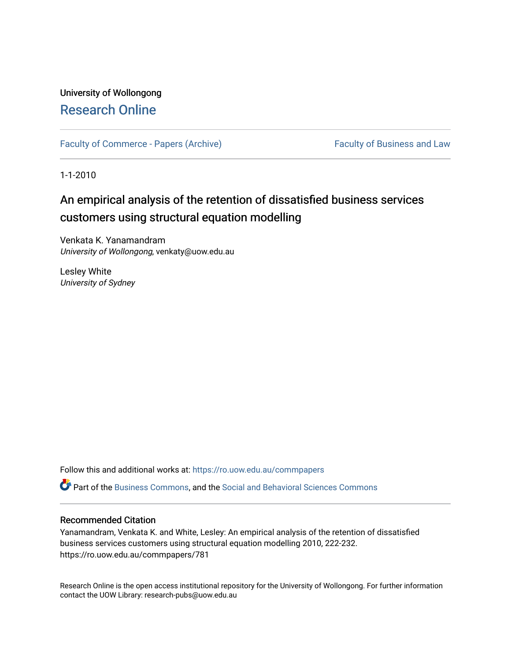## University of Wollongong [Research Online](https://ro.uow.edu.au/)

[Faculty of Commerce - Papers \(Archive\)](https://ro.uow.edu.au/commpapers) Faculty of Business and Law

1-1-2010

# An empirical analysis of the retention of dissatisfied business services customers using structural equation modelling

Venkata K. Yanamandram University of Wollongong, venkaty@uow.edu.au

Lesley White University of Sydney

Follow this and additional works at: [https://ro.uow.edu.au/commpapers](https://ro.uow.edu.au/commpapers?utm_source=ro.uow.edu.au%2Fcommpapers%2F781&utm_medium=PDF&utm_campaign=PDFCoverPages) 

Part of the [Business Commons](http://network.bepress.com/hgg/discipline/622?utm_source=ro.uow.edu.au%2Fcommpapers%2F781&utm_medium=PDF&utm_campaign=PDFCoverPages), and the [Social and Behavioral Sciences Commons](http://network.bepress.com/hgg/discipline/316?utm_source=ro.uow.edu.au%2Fcommpapers%2F781&utm_medium=PDF&utm_campaign=PDFCoverPages) 

#### Recommended Citation

Yanamandram, Venkata K. and White, Lesley: An empirical analysis of the retention of dissatisfied business services customers using structural equation modelling 2010, 222-232. https://ro.uow.edu.au/commpapers/781

Research Online is the open access institutional repository for the University of Wollongong. For further information contact the UOW Library: research-pubs@uow.edu.au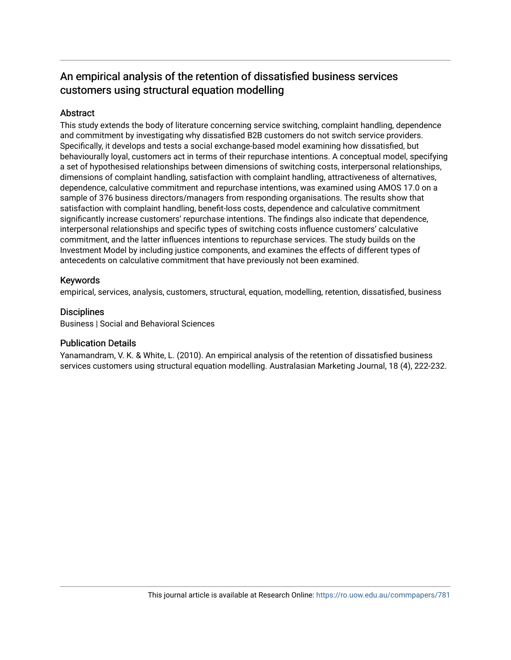## An empirical analysis of the retention of dissatisfied business services customers using structural equation modelling

## **Abstract**

This study extends the body of literature concerning service switching, complaint handling, dependence and commitment by investigating why dissatisfied B2B customers do not switch service providers. Specifically, it develops and tests a social exchange-based model examining how dissatisfied, but behaviourally loyal, customers act in terms of their repurchase intentions. A conceptual model, specifying a set of hypothesised relationships between dimensions of switching costs, interpersonal relationships, dimensions of complaint handling, satisfaction with complaint handling, attractiveness of alternatives, dependence, calculative commitment and repurchase intentions, was examined using AMOS 17.0 on a sample of 376 business directors/managers from responding organisations. The results show that satisfaction with complaint handling, benefit-loss costs, dependence and calculative commitment significantly increase customers' repurchase intentions. The findings also indicate that dependence, interpersonal relationships and specific types of switching costs influence customers' calculative commitment, and the latter influences intentions to repurchase services. The study builds on the Investment Model by including justice components, and examines the effects of different types of antecedents on calculative commitment that have previously not been examined.

## Keywords

empirical, services, analysis, customers, structural, equation, modelling, retention, dissatisfied, business

## **Disciplines**

Business | Social and Behavioral Sciences

## Publication Details

Yanamandram, V. K. & White, L. (2010). An empirical analysis of the retention of dissatisfied business services customers using structural equation modelling. Australasian Marketing Journal, 18 (4), 222-232.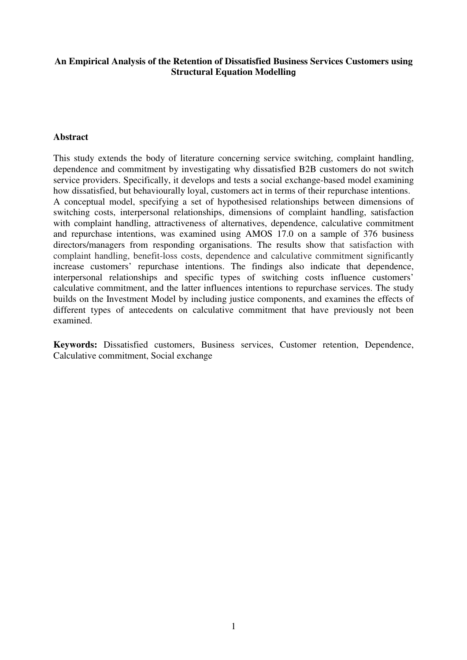## **An Empirical Analysis of the Retention of Dissatisfied Business Services Customers using Structural Equation Modelling**

## **Abstract**

This study extends the body of literature concerning service switching, complaint handling, dependence and commitment by investigating why dissatisfied B2B customers do not switch service providers. Specifically, it develops and tests a social exchange-based model examining how dissatisfied, but behaviourally loyal, customers act in terms of their repurchase intentions. A conceptual model, specifying a set of hypothesised relationships between dimensions of switching costs, interpersonal relationships, dimensions of complaint handling, satisfaction with complaint handling, attractiveness of alternatives, dependence, calculative commitment and repurchase intentions, was examined using AMOS 17.0 on a sample of 376 business directors/managers from responding organisations. The results show that satisfaction with complaint handling, benefit-loss costs, dependence and calculative commitment significantly increase customers' repurchase intentions. The findings also indicate that dependence, interpersonal relationships and specific types of switching costs influence customers' calculative commitment, and the latter influences intentions to repurchase services. The study builds on the Investment Model by including justice components, and examines the effects of different types of antecedents on calculative commitment that have previously not been examined.

**Keywords:** Dissatisfied customers, Business services, Customer retention, Dependence, Calculative commitment, Social exchange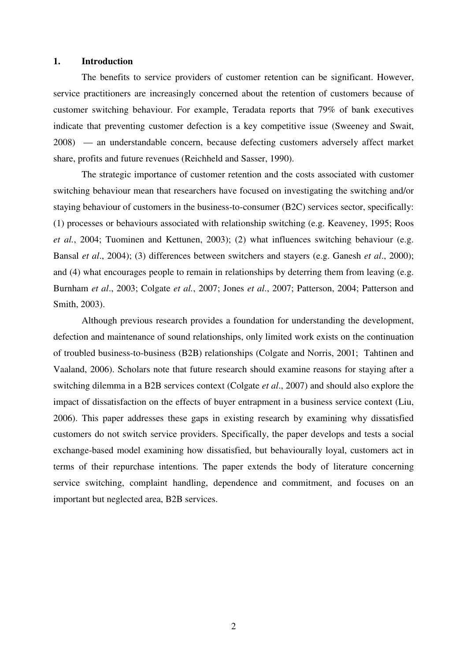#### **1. Introduction**

The benefits to service providers of customer retention can be significant. However, service practitioners are increasingly concerned about the retention of customers because of customer switching behaviour. For example, Teradata reports that 79% of bank executives indicate that preventing customer defection is a key competitive issue (Sweeney and Swait, 2008) — an understandable concern, because defecting customers adversely affect market share, profits and future revenues (Reichheld and Sasser, 1990).

The strategic importance of customer retention and the costs associated with customer switching behaviour mean that researchers have focused on investigating the switching and/or staying behaviour of customers in the business-to-consumer (B2C) services sector, specifically: (1) processes or behaviours associated with relationship switching (e.g. Keaveney, 1995; Roos *et al.*, 2004; Tuominen and Kettunen, 2003); (2) what influences switching behaviour (e.g. Bansal *et al*., 2004); (3) differences between switchers and stayers (e.g. Ganesh *et al*., 2000); and (4) what encourages people to remain in relationships by deterring them from leaving (e.g. Burnham *et al*., 2003; Colgate *et al.*, 2007; Jones *et al*., 2007; Patterson, 2004; Patterson and Smith, 2003).

Although previous research provides a foundation for understanding the development, defection and maintenance of sound relationships, only limited work exists on the continuation of troubled business-to-business (B2B) relationships (Colgate and Norris, 2001; Tahtinen and Vaaland, 2006). Scholars note that future research should examine reasons for staying after a switching dilemma in a B2B services context (Colgate *et al*., 2007) and should also explore the impact of dissatisfaction on the effects of buyer entrapment in a business service context (Liu, 2006). This paper addresses these gaps in existing research by examining why dissatisfied customers do not switch service providers. Specifically, the paper develops and tests a social exchange-based model examining how dissatisfied, but behaviourally loyal, customers act in terms of their repurchase intentions. The paper extends the body of literature concerning service switching, complaint handling, dependence and commitment, and focuses on an important but neglected area, B2B services.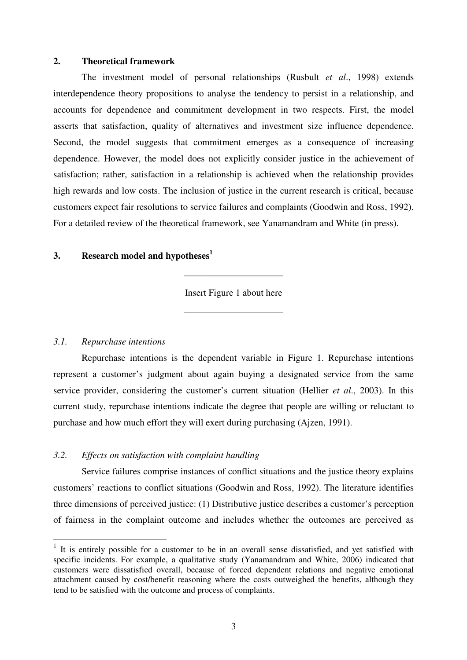#### **2. Theoretical framework**

The investment model of personal relationships (Rusbult *et al*., 1998) extends interdependence theory propositions to analyse the tendency to persist in a relationship, and accounts for dependence and commitment development in two respects. First, the model asserts that satisfaction, quality of alternatives and investment size influence dependence. Second, the model suggests that commitment emerges as a consequence of increasing dependence. However, the model does not explicitly consider justice in the achievement of satisfaction; rather, satisfaction in a relationship is achieved when the relationship provides high rewards and low costs. The inclusion of justice in the current research is critical, because customers expect fair resolutions to service failures and complaints (Goodwin and Ross, 1992). For a detailed review of the theoretical framework, see Yanamandram and White (in press).

## **3. Research model and hypotheses<sup>1</sup>**

Insert Figure 1 about here

\_\_\_\_\_\_\_\_\_\_\_\_\_\_\_\_\_\_\_\_\_

\_\_\_\_\_\_\_\_\_\_\_\_\_\_\_\_\_\_\_\_\_

## *3.1. Repurchase intentions*

 $\overline{a}$ 

Repurchase intentions is the dependent variable in Figure 1. Repurchase intentions represent a customer's judgment about again buying a designated service from the same service provider, considering the customer's current situation (Hellier *et al*., 2003). In this current study, repurchase intentions indicate the degree that people are willing or reluctant to purchase and how much effort they will exert during purchasing (Ajzen, 1991).

## *3.2. Effects on satisfaction with complaint handling*

Service failures comprise instances of conflict situations and the justice theory explains customers' reactions to conflict situations (Goodwin and Ross, 1992). The literature identifies three dimensions of perceived justice: (1) Distributive justice describes a customer's perception of fairness in the complaint outcome and includes whether the outcomes are perceived as

<sup>&</sup>lt;sup>1</sup> It is entirely possible for a customer to be in an overall sense dissatisfied, and yet satisfied with specific incidents. For example, a qualitative study (Yanamandram and White, 2006) indicated that customers were dissatisfied overall, because of forced dependent relations and negative emotional attachment caused by cost/benefit reasoning where the costs outweighed the benefits, although they tend to be satisfied with the outcome and process of complaints.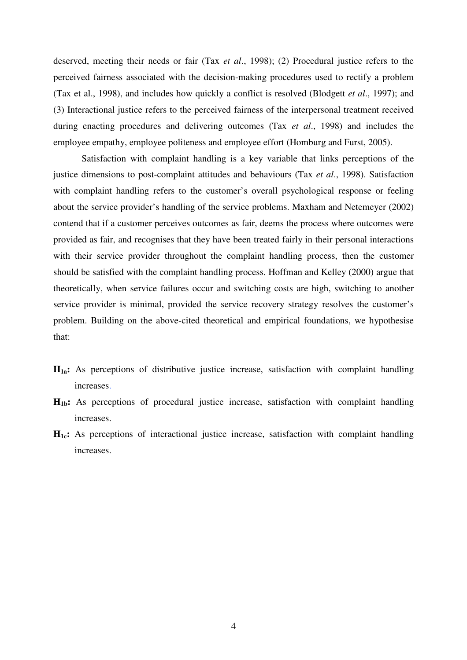deserved, meeting their needs or fair (Tax *et al*., 1998); (2) Procedural justice refers to the perceived fairness associated with the decision-making procedures used to rectify a problem (Tax et al., 1998), and includes how quickly a conflict is resolved (Blodgett *et al*., 1997); and (3) Interactional justice refers to the perceived fairness of the interpersonal treatment received during enacting procedures and delivering outcomes (Tax *et al*., 1998) and includes the employee empathy, employee politeness and employee effort (Homburg and Furst, 2005).

Satisfaction with complaint handling is a key variable that links perceptions of the justice dimensions to post-complaint attitudes and behaviours (Tax *et al*., 1998). Satisfaction with complaint handling refers to the customer's overall psychological response or feeling about the service provider's handling of the service problems. Maxham and Netemeyer (2002) contend that if a customer perceives outcomes as fair, deems the process where outcomes were provided as fair, and recognises that they have been treated fairly in their personal interactions with their service provider throughout the complaint handling process, then the customer should be satisfied with the complaint handling process. Hoffman and Kelley (2000) argue that theoretically, when service failures occur and switching costs are high, switching to another service provider is minimal, provided the service recovery strategy resolves the customer's problem. Building on the above-cited theoretical and empirical foundations, we hypothesise that:

- **H1a:** As perceptions of distributive justice increase, satisfaction with complaint handling increases.
- **H1b:** As perceptions of procedural justice increase, satisfaction with complaint handling increases.
- **H1c:** As perceptions of interactional justice increase, satisfaction with complaint handling increases.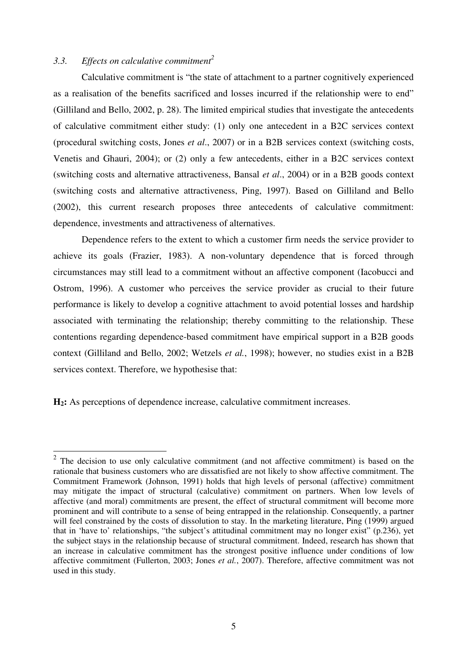## *3.3. Effects on calculative commitment<sup>2</sup>*

 $\overline{a}$ 

Calculative commitment is "the state of attachment to a partner cognitively experienced as a realisation of the benefits sacrificed and losses incurred if the relationship were to end" (Gilliland and Bello, 2002, p. 28). The limited empirical studies that investigate the antecedents of calculative commitment either study: (1) only one antecedent in a B2C services context (procedural switching costs, Jones *et al*., 2007) or in a B2B services context (switching costs, Venetis and Ghauri, 2004); or (2) only a few antecedents, either in a B2C services context (switching costs and alternative attractiveness, Bansal *et al*., 2004) or in a B2B goods context (switching costs and alternative attractiveness, Ping, 1997). Based on Gilliland and Bello (2002), this current research proposes three antecedents of calculative commitment: dependence, investments and attractiveness of alternatives.

Dependence refers to the extent to which a customer firm needs the service provider to achieve its goals (Frazier, 1983). A non-voluntary dependence that is forced through circumstances may still lead to a commitment without an affective component (Iacobucci and Ostrom, 1996). A customer who perceives the service provider as crucial to their future performance is likely to develop a cognitive attachment to avoid potential losses and hardship associated with terminating the relationship; thereby committing to the relationship. These contentions regarding dependence-based commitment have empirical support in a B2B goods context (Gilliland and Bello, 2002; Wetzels *et al.*, 1998); however, no studies exist in a B2B services context. Therefore, we hypothesise that:

**H2:** As perceptions of dependence increase, calculative commitment increases.

 $2$  The decision to use only calculative commitment (and not affective commitment) is based on the rationale that business customers who are dissatisfied are not likely to show affective commitment. The Commitment Framework (Johnson, 1991) holds that high levels of personal (affective) commitment may mitigate the impact of structural (calculative) commitment on partners. When low levels of affective (and moral) commitments are present, the effect of structural commitment will become more prominent and will contribute to a sense of being entrapped in the relationship. Consequently, a partner will feel constrained by the costs of dissolution to stay. In the marketing literature, Ping (1999) argued that in 'have to' relationships, "the subject's attitudinal commitment may no longer exist" (p.236), yet the subject stays in the relationship because of structural commitment. Indeed, research has shown that an increase in calculative commitment has the strongest positive influence under conditions of low affective commitment (Fullerton, 2003; Jones *et al.*, 2007). Therefore, affective commitment was not used in this study.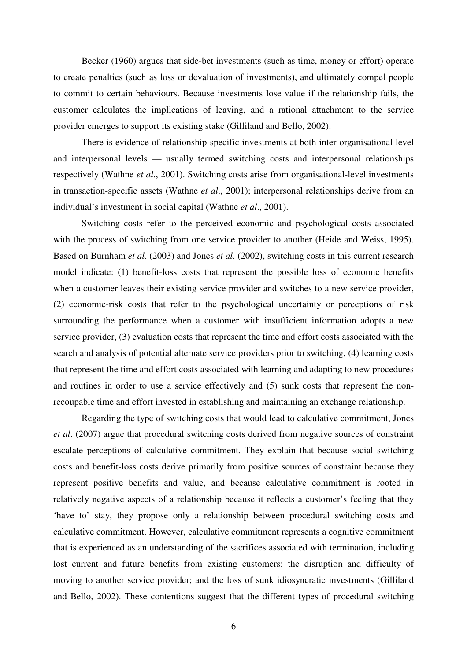Becker (1960) argues that side-bet investments (such as time, money or effort) operate to create penalties (such as loss or devaluation of investments), and ultimately compel people to commit to certain behaviours. Because investments lose value if the relationship fails, the customer calculates the implications of leaving, and a rational attachment to the service provider emerges to support its existing stake (Gilliland and Bello, 2002).

There is evidence of relationship-specific investments at both inter-organisational level and interpersonal levels — usually termed switching costs and interpersonal relationships respectively (Wathne *et al*., 2001). Switching costs arise from organisational-level investments in transaction-specific assets (Wathne *et al*., 2001); interpersonal relationships derive from an individual's investment in social capital (Wathne *et al*., 2001).

Switching costs refer to the perceived economic and psychological costs associated with the process of switching from one service provider to another (Heide and Weiss, 1995). Based on Burnham *et al*. (2003) and Jones *et al*. (2002), switching costs in this current research model indicate: (1) benefit-loss costs that represent the possible loss of economic benefits when a customer leaves their existing service provider and switches to a new service provider, (2) economic-risk costs that refer to the psychological uncertainty or perceptions of risk surrounding the performance when a customer with insufficient information adopts a new service provider, (3) evaluation costs that represent the time and effort costs associated with the search and analysis of potential alternate service providers prior to switching, (4) learning costs that represent the time and effort costs associated with learning and adapting to new procedures and routines in order to use a service effectively and (5) sunk costs that represent the nonrecoupable time and effort invested in establishing and maintaining an exchange relationship.

Regarding the type of switching costs that would lead to calculative commitment, Jones *et al*. (2007) argue that procedural switching costs derived from negative sources of constraint escalate perceptions of calculative commitment. They explain that because social switching costs and benefit-loss costs derive primarily from positive sources of constraint because they represent positive benefits and value, and because calculative commitment is rooted in relatively negative aspects of a relationship because it reflects a customer's feeling that they 'have to' stay, they propose only a relationship between procedural switching costs and calculative commitment. However, calculative commitment represents a cognitive commitment that is experienced as an understanding of the sacrifices associated with termination, including lost current and future benefits from existing customers; the disruption and difficulty of moving to another service provider; and the loss of sunk idiosyncratic investments (Gilliland and Bello, 2002). These contentions suggest that the different types of procedural switching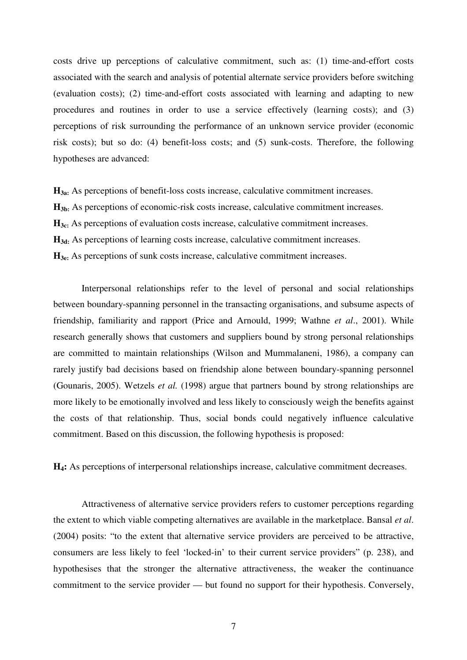costs drive up perceptions of calculative commitment, such as: (1) time-and-effort costs associated with the search and analysis of potential alternate service providers before switching (evaluation costs); (2) time-and-effort costs associated with learning and adapting to new procedures and routines in order to use a service effectively (learning costs); and (3) perceptions of risk surrounding the performance of an unknown service provider (economic risk costs); but so do: (4) benefit-loss costs; and (5) sunk-costs. Therefore, the following hypotheses are advanced:

**H3a:** As perceptions of benefit-loss costs increase, calculative commitment increases. **H3b:** As perceptions of economic-risk costs increase, calculative commitment increases. **H3c:** As perceptions of evaluation costs increase, calculative commitment increases. **H3d:** As perceptions of learning costs increase, calculative commitment increases. **H3e:** As perceptions of sunk costs increase, calculative commitment increases.

Interpersonal relationships refer to the level of personal and social relationships between boundary-spanning personnel in the transacting organisations, and subsume aspects of friendship, familiarity and rapport (Price and Arnould, 1999; Wathne *et al*., 2001). While research generally shows that customers and suppliers bound by strong personal relationships are committed to maintain relationships (Wilson and Mummalaneni, 1986), a company can rarely justify bad decisions based on friendship alone between boundary-spanning personnel (Gounaris, 2005). Wetzels *et al.* (1998) argue that partners bound by strong relationships are more likely to be emotionally involved and less likely to consciously weigh the benefits against the costs of that relationship. Thus, social bonds could negatively influence calculative commitment. Based on this discussion, the following hypothesis is proposed:

**H4:** As perceptions of interpersonal relationships increase, calculative commitment decreases.

Attractiveness of alternative service providers refers to customer perceptions regarding the extent to which viable competing alternatives are available in the marketplace. Bansal *et al*. (2004) posits: "to the extent that alternative service providers are perceived to be attractive, consumers are less likely to feel 'locked-in' to their current service providers" (p. 238), and hypothesises that the stronger the alternative attractiveness, the weaker the continuance commitment to the service provider — but found no support for their hypothesis. Conversely,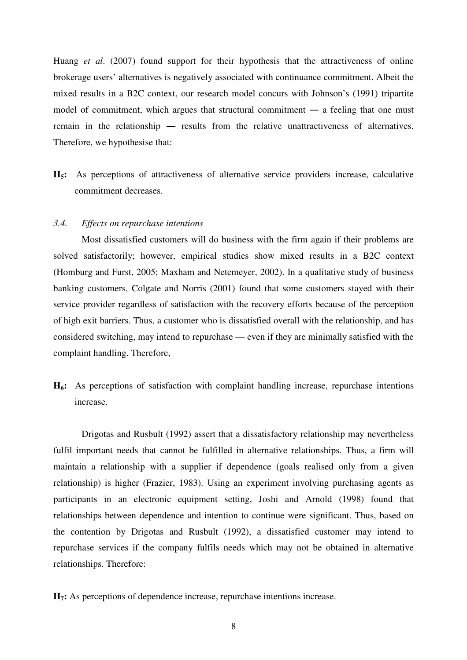Huang *et al*. (2007) found support for their hypothesis that the attractiveness of online brokerage users' alternatives is negatively associated with continuance commitment. Albeit the mixed results in a B2C context, our research model concurs with Johnson's (1991) tripartite model of commitment, which argues that structural commitment ― a feeling that one must remain in the relationship ― results from the relative unattractiveness of alternatives. Therefore, we hypothesise that:

**H5:** As perceptions of attractiveness of alternative service providers increase, calculative commitment decreases.

#### *3.4. Effects on repurchase intentions*

Most dissatisfied customers will do business with the firm again if their problems are solved satisfactorily; however, empirical studies show mixed results in a B2C context (Homburg and Furst, 2005; Maxham and Netemeyer, 2002). In a qualitative study of business banking customers, Colgate and Norris (2001) found that some customers stayed with their service provider regardless of satisfaction with the recovery efforts because of the perception of high exit barriers. Thus, a customer who is dissatisfied overall with the relationship, and has considered switching, may intend to repurchase — even if they are minimally satisfied with the complaint handling. Therefore,

**H6:** As perceptions of satisfaction with complaint handling increase, repurchase intentions increase.

Drigotas and Rusbult (1992) assert that a dissatisfactory relationship may nevertheless fulfil important needs that cannot be fulfilled in alternative relationships. Thus, a firm will maintain a relationship with a supplier if dependence (goals realised only from a given relationship) is higher (Frazier, 1983). Using an experiment involving purchasing agents as participants in an electronic equipment setting, Joshi and Arnold (1998) found that relationships between dependence and intention to continue were significant. Thus, based on the contention by Drigotas and Rusbult (1992), a dissatisfied customer may intend to repurchase services if the company fulfils needs which may not be obtained in alternative relationships. Therefore:

**H7:** As perceptions of dependence increase, repurchase intentions increase.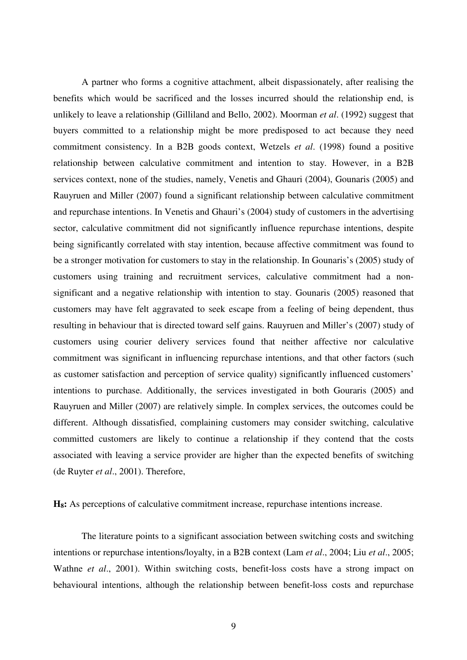A partner who forms a cognitive attachment, albeit dispassionately, after realising the benefits which would be sacrificed and the losses incurred should the relationship end, is unlikely to leave a relationship (Gilliland and Bello, 2002). Moorman *et al*. (1992) suggest that buyers committed to a relationship might be more predisposed to act because they need commitment consistency. In a B2B goods context, Wetzels *et al*. (1998) found a positive relationship between calculative commitment and intention to stay. However, in a B2B services context, none of the studies, namely, Venetis and Ghauri (2004), Gounaris (2005) and Rauyruen and Miller (2007) found a significant relationship between calculative commitment and repurchase intentions. In Venetis and Ghauri's (2004) study of customers in the advertising sector, calculative commitment did not significantly influence repurchase intentions, despite being significantly correlated with stay intention, because affective commitment was found to be a stronger motivation for customers to stay in the relationship. In Gounaris's (2005) study of customers using training and recruitment services, calculative commitment had a nonsignificant and a negative relationship with intention to stay. Gounaris (2005) reasoned that customers may have felt aggravated to seek escape from a feeling of being dependent, thus resulting in behaviour that is directed toward self gains. Rauyruen and Miller's (2007) study of customers using courier delivery services found that neither affective nor calculative commitment was significant in influencing repurchase intentions, and that other factors (such as customer satisfaction and perception of service quality) significantly influenced customers' intentions to purchase. Additionally, the services investigated in both Gouraris (2005) and Rauyruen and Miller (2007) are relatively simple. In complex services, the outcomes could be different. Although dissatisfied, complaining customers may consider switching, calculative committed customers are likely to continue a relationship if they contend that the costs associated with leaving a service provider are higher than the expected benefits of switching (de Ruyter *et al*., 2001). Therefore,

**H8:** As perceptions of calculative commitment increase, repurchase intentions increase.

The literature points to a significant association between switching costs and switching intentions or repurchase intentions/loyalty, in a B2B context (Lam *et al*., 2004; Liu *et al*., 2005; Wathne *et al*., 2001). Within switching costs, benefit-loss costs have a strong impact on behavioural intentions, although the relationship between benefit-loss costs and repurchase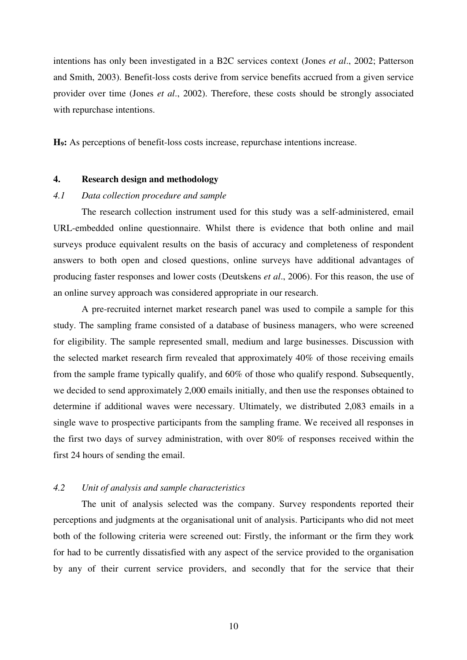intentions has only been investigated in a B2C services context (Jones *et al*., 2002; Patterson and Smith, 2003). Benefit-loss costs derive from service benefits accrued from a given service provider over time (Jones *et al*., 2002). Therefore, these costs should be strongly associated with repurchase intentions.

**H9:** As perceptions of benefit-loss costs increase, repurchase intentions increase.

#### **4. Research design and methodology**

## *4.1 Data collection procedure and sample*

The research collection instrument used for this study was a self-administered, email URL-embedded online questionnaire. Whilst there is evidence that both online and mail surveys produce equivalent results on the basis of accuracy and completeness of respondent answers to both open and closed questions, online surveys have additional advantages of producing faster responses and lower costs (Deutskens *et al*., 2006). For this reason, the use of an online survey approach was considered appropriate in our research.

A pre-recruited internet market research panel was used to compile a sample for this study. The sampling frame consisted of a database of business managers, who were screened for eligibility. The sample represented small, medium and large businesses. Discussion with the selected market research firm revealed that approximately 40% of those receiving emails from the sample frame typically qualify, and 60% of those who qualify respond. Subsequently, we decided to send approximately 2,000 emails initially, and then use the responses obtained to determine if additional waves were necessary. Ultimately, we distributed 2,083 emails in a single wave to prospective participants from the sampling frame. We received all responses in the first two days of survey administration, with over 80% of responses received within the first 24 hours of sending the email.

## *4.2 Unit of analysis and sample characteristics*

The unit of analysis selected was the company. Survey respondents reported their perceptions and judgments at the organisational unit of analysis. Participants who did not meet both of the following criteria were screened out: Firstly, the informant or the firm they work for had to be currently dissatisfied with any aspect of the service provided to the organisation by any of their current service providers, and secondly that for the service that their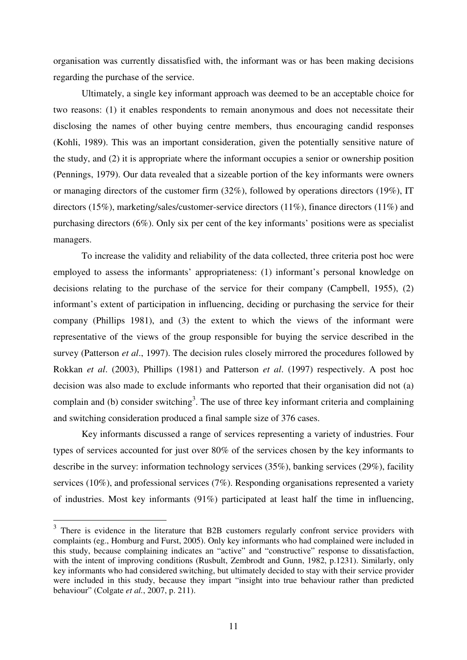organisation was currently dissatisfied with, the informant was or has been making decisions regarding the purchase of the service.

Ultimately, a single key informant approach was deemed to be an acceptable choice for two reasons: (1) it enables respondents to remain anonymous and does not necessitate their disclosing the names of other buying centre members, thus encouraging candid responses (Kohli, 1989). This was an important consideration, given the potentially sensitive nature of the study, and (2) it is appropriate where the informant occupies a senior or ownership position (Pennings, 1979). Our data revealed that a sizeable portion of the key informants were owners or managing directors of the customer firm (32%), followed by operations directors (19%), IT directors (15%), marketing/sales/customer-service directors (11%), finance directors (11%) and purchasing directors (6%). Only six per cent of the key informants' positions were as specialist managers.

To increase the validity and reliability of the data collected, three criteria post hoc were employed to assess the informants' appropriateness: (1) informant's personal knowledge on decisions relating to the purchase of the service for their company (Campbell, 1955), (2) informant's extent of participation in influencing, deciding or purchasing the service for their company (Phillips 1981), and (3) the extent to which the views of the informant were representative of the views of the group responsible for buying the service described in the survey (Patterson *et al*., 1997). The decision rules closely mirrored the procedures followed by Rokkan *et al*. (2003), Phillips (1981) and Patterson *et al*. (1997) respectively. A post hoc decision was also made to exclude informants who reported that their organisation did not (a) complain and (b) consider switching<sup>3</sup>. The use of three key informant criteria and complaining and switching consideration produced a final sample size of 376 cases.

Key informants discussed a range of services representing a variety of industries. Four types of services accounted for just over 80% of the services chosen by the key informants to describe in the survey: information technology services (35%), banking services (29%), facility services (10%), and professional services (7%). Responding organisations represented a variety of industries. Most key informants (91%) participated at least half the time in influencing,

<sup>&</sup>lt;sup>3</sup> There is evidence in the literature that B2B customers regularly confront service providers with complaints (eg., Homburg and Furst, 2005). Only key informants who had complained were included in this study, because complaining indicates an "active" and "constructive" response to dissatisfaction, with the intent of improving conditions (Rusbult, Zembrodt and Gunn, 1982, p.1231). Similarly, only key informants who had considered switching, but ultimately decided to stay with their service provider were included in this study, because they impart "insight into true behaviour rather than predicted behaviour" (Colgate *et al.*, 2007, p. 211).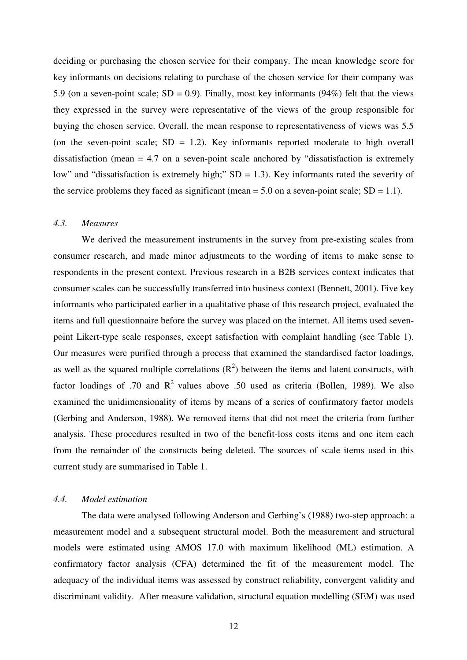deciding or purchasing the chosen service for their company. The mean knowledge score for key informants on decisions relating to purchase of the chosen service for their company was 5.9 (on a seven-point scale;  $SD = 0.9$ ). Finally, most key informants (94%) felt that the views they expressed in the survey were representative of the views of the group responsible for buying the chosen service. Overall, the mean response to representativeness of views was 5.5 (on the seven-point scale;  $SD = 1.2$ ). Key informants reported moderate to high overall dissatisfaction (mean = 4.7 on a seven-point scale anchored by "dissatisfaction is extremely low" and "dissatisfaction is extremely high;"  $SD = 1.3$ ). Key informants rated the severity of the service problems they faced as significant (mean  $= 5.0$  on a seven-point scale;  $SD = 1.1$ ).

#### *4.3. Measures*

We derived the measurement instruments in the survey from pre-existing scales from consumer research, and made minor adjustments to the wording of items to make sense to respondents in the present context. Previous research in a B2B services context indicates that consumer scales can be successfully transferred into business context (Bennett, 2001). Five key informants who participated earlier in a qualitative phase of this research project, evaluated the items and full questionnaire before the survey was placed on the internet. All items used sevenpoint Likert-type scale responses, except satisfaction with complaint handling (see Table 1). Our measures were purified through a process that examined the standardised factor loadings, as well as the squared multiple correlations  $(R^2)$  between the items and latent constructs, with factor loadings of .70 and  $\mathbb{R}^2$  values above .50 used as criteria (Bollen, 1989). We also examined the unidimensionality of items by means of a series of confirmatory factor models (Gerbing and Anderson, 1988). We removed items that did not meet the criteria from further analysis. These procedures resulted in two of the benefit-loss costs items and one item each from the remainder of the constructs being deleted. The sources of scale items used in this current study are summarised in Table 1.

#### *4.4. Model estimation*

The data were analysed following Anderson and Gerbing's (1988) two-step approach: a measurement model and a subsequent structural model. Both the measurement and structural models were estimated using AMOS 17.0 with maximum likelihood (ML) estimation. A confirmatory factor analysis (CFA) determined the fit of the measurement model. The adequacy of the individual items was assessed by construct reliability, convergent validity and discriminant validity. After measure validation, structural equation modelling (SEM) was used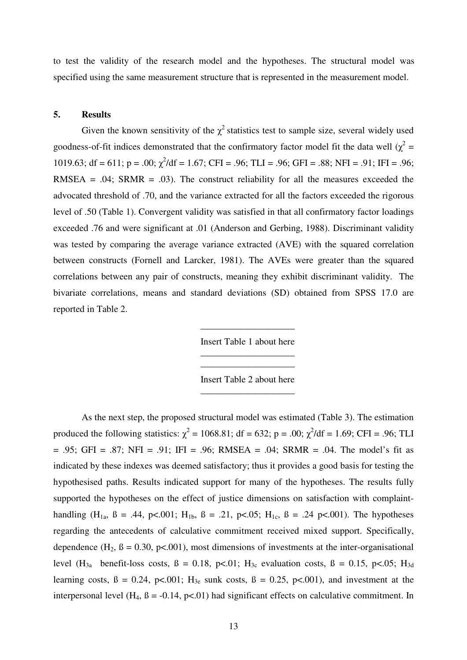to test the validity of the research model and the hypotheses. The structural model was specified using the same measurement structure that is represented in the measurement model.

#### **5. Results**

Given the known sensitivity of the  $\chi^2$  statistics test to sample size, several widely used goodness-of-fit indices demonstrated that the confirmatory factor model fit the data well  $(\chi^2 =$ 1019.63; df = 611; p = .00;  $\chi^2$ /df = 1.67; CFI = .96; TLI = .96; GFI = .88; NFI = .91; IFI = .96; RMSEA =  $.04$ ; SRMR =  $.03$ ). The construct reliability for all the measures exceeded the advocated threshold of .70, and the variance extracted for all the factors exceeded the rigorous level of .50 (Table 1). Convergent validity was satisfied in that all confirmatory factor loadings exceeded .76 and were significant at .01 (Anderson and Gerbing, 1988). Discriminant validity was tested by comparing the average variance extracted (AVE) with the squared correlation between constructs (Fornell and Larcker, 1981). The AVEs were greater than the squared correlations between any pair of constructs, meaning they exhibit discriminant validity. The bivariate correlations, means and standard deviations (SD) obtained from SPSS 17.0 are reported in Table 2.

> \_\_\_\_\_\_\_\_\_\_\_\_\_\_\_\_\_\_\_\_ Insert Table 1 about here \_\_\_\_\_\_\_\_\_\_\_\_\_\_\_\_\_\_\_\_

> \_\_\_\_\_\_\_\_\_\_\_\_\_\_\_\_\_\_\_\_ Insert Table 2 about here \_\_\_\_\_\_\_\_\_\_\_\_\_\_\_\_\_\_\_\_

As the next step, the proposed structural model was estimated (Table 3). The estimation produced the following statistics:  $\chi^2 = 1068.81$ ; df = 632; p = .00;  $\chi^2$ /df = 1.69; CFI = .96; TLI  $= .95$ ; GFI = .87; NFI = .91; IFI = .96; RMSEA = .04; SRMR = .04. The model's fit as indicated by these indexes was deemed satisfactory; thus it provides a good basis for testing the hypothesised paths. Results indicated support for many of the hypotheses. The results fully supported the hypotheses on the effect of justice dimensions on satisfaction with complainthandling  $(H_{1a}, B = .44, p<.001; H_{1b}, B = .21, p<.05; H_{1c}, B = .24 p<.001$ . The hypotheses regarding the antecedents of calculative commitment received mixed support. Specifically, dependence  $(H_2, B = 0.30, p<0.01)$ , most dimensions of investments at the inter-organisational level  $(H_{3a}$  benefit-loss costs,  $\beta = 0.18$ , p<.01;  $H_{3c}$  evaluation costs,  $\beta = 0.15$ , p<.05;  $H_{3d}$ learning costs,  $\beta = 0.24$ , p<.001; H<sub>3e</sub> sunk costs,  $\beta = 0.25$ , p<.001), and investment at the interpersonal level (H<sub>4</sub>,  $\beta$  = -0.14, p<.01) had significant effects on calculative commitment. In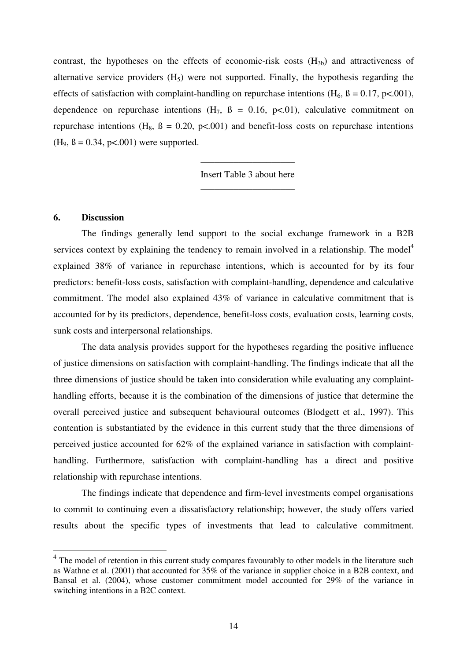contrast, the hypotheses on the effects of economic-risk costs  $(H_{3b})$  and attractiveness of alternative service providers  $(H<sub>5</sub>)$  were not supported. Finally, the hypothesis regarding the effects of satisfaction with complaint-handling on repurchase intentions  $(H_6, B = 0.17, p<.001)$ , dependence on repurchase intentions  $(H_7, B = 0.16, p<0.01)$ , calculative commitment on repurchase intentions (H<sub>8</sub>,  $\beta = 0.20$ ,  $p \lt 0.001$ ) and benefit-loss costs on repurchase intentions  $(H_9, \beta = 0.34, p < .001)$  were supported.

> Insert Table 3 about here \_\_\_\_\_\_\_\_\_\_\_\_\_\_\_\_\_\_\_\_

\_\_\_\_\_\_\_\_\_\_\_\_\_\_\_\_\_\_\_\_

#### **6. Discussion**

 $\overline{a}$ 

The findings generally lend support to the social exchange framework in a B2B services context by explaining the tendency to remain involved in a relationship. The model<sup>4</sup> explained 38% of variance in repurchase intentions, which is accounted for by its four predictors: benefit-loss costs, satisfaction with complaint-handling, dependence and calculative commitment. The model also explained 43% of variance in calculative commitment that is accounted for by its predictors, dependence, benefit-loss costs, evaluation costs, learning costs, sunk costs and interpersonal relationships.

The data analysis provides support for the hypotheses regarding the positive influence of justice dimensions on satisfaction with complaint-handling. The findings indicate that all the three dimensions of justice should be taken into consideration while evaluating any complainthandling efforts, because it is the combination of the dimensions of justice that determine the overall perceived justice and subsequent behavioural outcomes (Blodgett et al., 1997). This contention is substantiated by the evidence in this current study that the three dimensions of perceived justice accounted for 62% of the explained variance in satisfaction with complainthandling. Furthermore, satisfaction with complaint-handling has a direct and positive relationship with repurchase intentions.

The findings indicate that dependence and firm-level investments compel organisations to commit to continuing even a dissatisfactory relationship; however, the study offers varied results about the specific types of investments that lead to calculative commitment.

<sup>&</sup>lt;sup>4</sup> The model of retention in this current study compares favourably to other models in the literature such as Wathne et al. (2001) that accounted for 35% of the variance in supplier choice in a B2B context, and Bansal et al. (2004), whose customer commitment model accounted for 29% of the variance in switching intentions in a B2C context.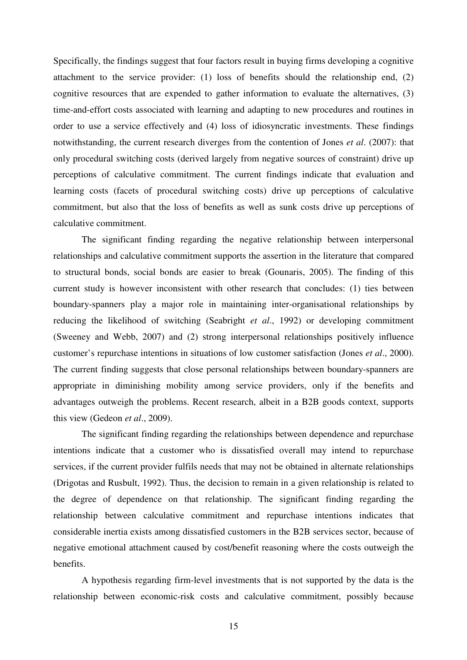Specifically, the findings suggest that four factors result in buying firms developing a cognitive attachment to the service provider: (1) loss of benefits should the relationship end, (2) cognitive resources that are expended to gather information to evaluate the alternatives, (3) time-and-effort costs associated with learning and adapting to new procedures and routines in order to use a service effectively and (4) loss of idiosyncratic investments. These findings notwithstanding, the current research diverges from the contention of Jones *et al*. (2007): that only procedural switching costs (derived largely from negative sources of constraint) drive up perceptions of calculative commitment. The current findings indicate that evaluation and learning costs (facets of procedural switching costs) drive up perceptions of calculative commitment, but also that the loss of benefits as well as sunk costs drive up perceptions of calculative commitment.

The significant finding regarding the negative relationship between interpersonal relationships and calculative commitment supports the assertion in the literature that compared to structural bonds, social bonds are easier to break (Gounaris, 2005). The finding of this current study is however inconsistent with other research that concludes: (1) ties between boundary-spanners play a major role in maintaining inter-organisational relationships by reducing the likelihood of switching (Seabright *et al*., 1992) or developing commitment (Sweeney and Webb, 2007) and (2) strong interpersonal relationships positively influence customer's repurchase intentions in situations of low customer satisfaction (Jones *et al*., 2000). The current finding suggests that close personal relationships between boundary-spanners are appropriate in diminishing mobility among service providers, only if the benefits and advantages outweigh the problems. Recent research, albeit in a B2B goods context, supports this view (Gedeon *et al*., 2009).

The significant finding regarding the relationships between dependence and repurchase intentions indicate that a customer who is dissatisfied overall may intend to repurchase services, if the current provider fulfils needs that may not be obtained in alternate relationships (Drigotas and Rusbult, 1992). Thus, the decision to remain in a given relationship is related to the degree of dependence on that relationship. The significant finding regarding the relationship between calculative commitment and repurchase intentions indicates that considerable inertia exists among dissatisfied customers in the B2B services sector, because of negative emotional attachment caused by cost/benefit reasoning where the costs outweigh the benefits.

A hypothesis regarding firm-level investments that is not supported by the data is the relationship between economic-risk costs and calculative commitment, possibly because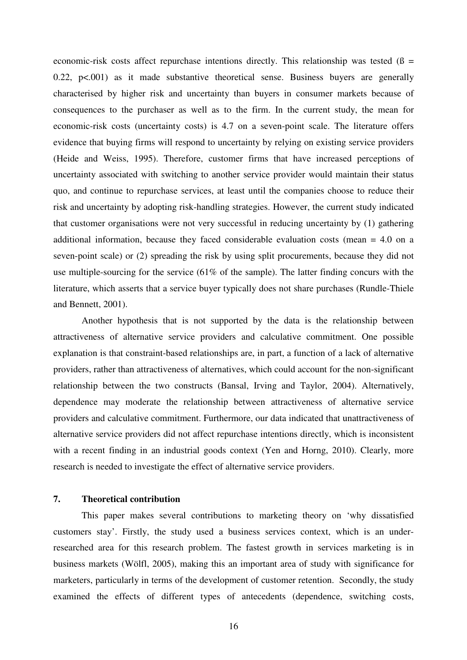economic-risk costs affect repurchase intentions directly. This relationship was tested ( $\beta$  = 0.22,  $p<0.001$  as it made substantive theoretical sense. Business buyers are generally characterised by higher risk and uncertainty than buyers in consumer markets because of consequences to the purchaser as well as to the firm. In the current study, the mean for economic-risk costs (uncertainty costs) is 4.7 on a seven-point scale. The literature offers evidence that buying firms will respond to uncertainty by relying on existing service providers (Heide and Weiss, 1995). Therefore, customer firms that have increased perceptions of uncertainty associated with switching to another service provider would maintain their status quo, and continue to repurchase services, at least until the companies choose to reduce their risk and uncertainty by adopting risk-handling strategies. However, the current study indicated that customer organisations were not very successful in reducing uncertainty by (1) gathering additional information, because they faced considerable evaluation costs (mean = 4.0 on a seven-point scale) or (2) spreading the risk by using split procurements, because they did not use multiple-sourcing for the service (61% of the sample). The latter finding concurs with the literature, which asserts that a service buyer typically does not share purchases (Rundle-Thiele and Bennett, 2001).

Another hypothesis that is not supported by the data is the relationship between attractiveness of alternative service providers and calculative commitment. One possible explanation is that constraint-based relationships are, in part, a function of a lack of alternative providers, rather than attractiveness of alternatives, which could account for the non-significant relationship between the two constructs (Bansal, Irving and Taylor, 2004). Alternatively, dependence may moderate the relationship between attractiveness of alternative service providers and calculative commitment. Furthermore, our data indicated that unattractiveness of alternative service providers did not affect repurchase intentions directly, which is inconsistent with a recent finding in an industrial goods context (Yen and Horng, 2010). Clearly, more research is needed to investigate the effect of alternative service providers.

#### **7. Theoretical contribution**

This paper makes several contributions to marketing theory on 'why dissatisfied customers stay'. Firstly, the study used a business services context, which is an underresearched area for this research problem. The fastest growth in services marketing is in business markets (Wölfl, 2005), making this an important area of study with significance for marketers, particularly in terms of the development of customer retention. Secondly, the study examined the effects of different types of antecedents (dependence, switching costs,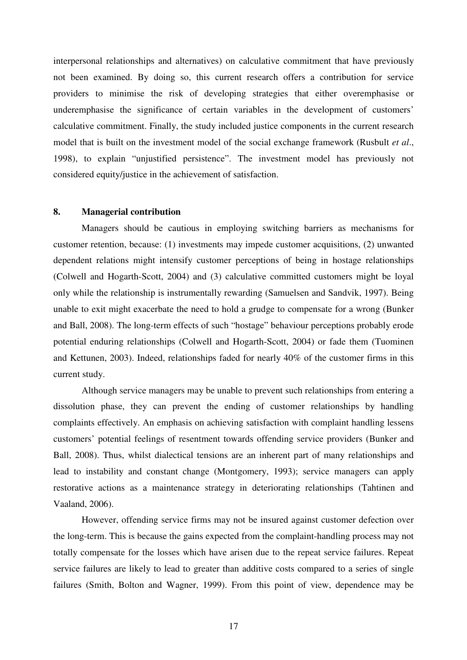interpersonal relationships and alternatives) on calculative commitment that have previously not been examined. By doing so, this current research offers a contribution for service providers to minimise the risk of developing strategies that either overemphasise or underemphasise the significance of certain variables in the development of customers' calculative commitment. Finally, the study included justice components in the current research model that is built on the investment model of the social exchange framework (Rusbult *et al*., 1998), to explain "unjustified persistence". The investment model has previously not considered equity/justice in the achievement of satisfaction.

#### **8. Managerial contribution**

Managers should be cautious in employing switching barriers as mechanisms for customer retention, because: (1) investments may impede customer acquisitions, (2) unwanted dependent relations might intensify customer perceptions of being in hostage relationships (Colwell and Hogarth-Scott, 2004) and (3) calculative committed customers might be loyal only while the relationship is instrumentally rewarding (Samuelsen and Sandvik, 1997). Being unable to exit might exacerbate the need to hold a grudge to compensate for a wrong (Bunker and Ball, 2008). The long-term effects of such "hostage" behaviour perceptions probably erode potential enduring relationships (Colwell and Hogarth-Scott, 2004) or fade them (Tuominen and Kettunen, 2003). Indeed, relationships faded for nearly 40% of the customer firms in this current study.

Although service managers may be unable to prevent such relationships from entering a dissolution phase, they can prevent the ending of customer relationships by handling complaints effectively. An emphasis on achieving satisfaction with complaint handling lessens customers' potential feelings of resentment towards offending service providers (Bunker and Ball, 2008). Thus, whilst dialectical tensions are an inherent part of many relationships and lead to instability and constant change (Montgomery, 1993); service managers can apply restorative actions as a maintenance strategy in deteriorating relationships (Tahtinen and Vaaland, 2006).

However, offending service firms may not be insured against customer defection over the long-term. This is because the gains expected from the complaint-handling process may not totally compensate for the losses which have arisen due to the repeat service failures. Repeat service failures are likely to lead to greater than additive costs compared to a series of single failures (Smith, Bolton and Wagner, 1999). From this point of view, dependence may be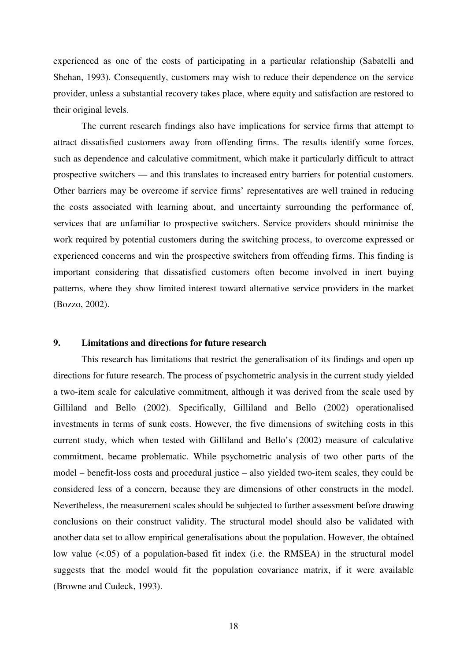experienced as one of the costs of participating in a particular relationship (Sabatelli and Shehan, 1993). Consequently, customers may wish to reduce their dependence on the service provider, unless a substantial recovery takes place, where equity and satisfaction are restored to their original levels.

The current research findings also have implications for service firms that attempt to attract dissatisfied customers away from offending firms. The results identify some forces, such as dependence and calculative commitment, which make it particularly difficult to attract prospective switchers — and this translates to increased entry barriers for potential customers. Other barriers may be overcome if service firms' representatives are well trained in reducing the costs associated with learning about, and uncertainty surrounding the performance of, services that are unfamiliar to prospective switchers. Service providers should minimise the work required by potential customers during the switching process, to overcome expressed or experienced concerns and win the prospective switchers from offending firms. This finding is important considering that dissatisfied customers often become involved in inert buying patterns, where they show limited interest toward alternative service providers in the market (Bozzo, 2002).

## **9. Limitations and directions for future research**

This research has limitations that restrict the generalisation of its findings and open up directions for future research. The process of psychometric analysis in the current study yielded a two-item scale for calculative commitment, although it was derived from the scale used by Gilliland and Bello (2002). Specifically, Gilliland and Bello (2002) operationalised investments in terms of sunk costs. However, the five dimensions of switching costs in this current study, which when tested with Gilliland and Bello's (2002) measure of calculative commitment, became problematic. While psychometric analysis of two other parts of the model – benefit-loss costs and procedural justice – also yielded two-item scales, they could be considered less of a concern, because they are dimensions of other constructs in the model. Nevertheless, the measurement scales should be subjected to further assessment before drawing conclusions on their construct validity. The structural model should also be validated with another data set to allow empirical generalisations about the population. However, the obtained low value (<.05) of a population-based fit index (i.e. the RMSEA) in the structural model suggests that the model would fit the population covariance matrix, if it were available (Browne and Cudeck, 1993).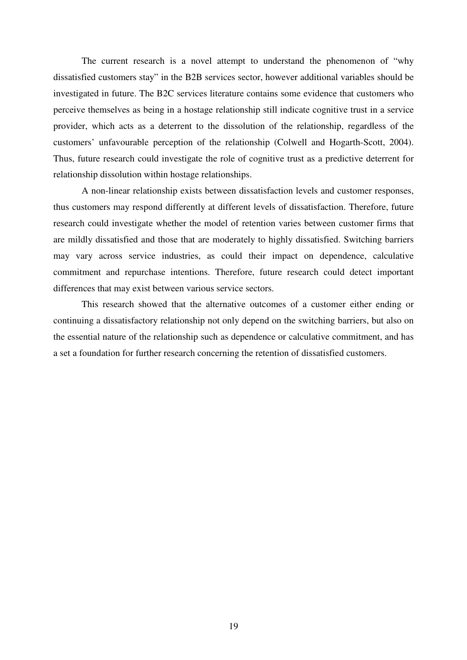The current research is a novel attempt to understand the phenomenon of "why dissatisfied customers stay" in the B2B services sector, however additional variables should be investigated in future. The B2C services literature contains some evidence that customers who perceive themselves as being in a hostage relationship still indicate cognitive trust in a service provider, which acts as a deterrent to the dissolution of the relationship, regardless of the customers' unfavourable perception of the relationship (Colwell and Hogarth-Scott, 2004). Thus, future research could investigate the role of cognitive trust as a predictive deterrent for relationship dissolution within hostage relationships.

A non-linear relationship exists between dissatisfaction levels and customer responses, thus customers may respond differently at different levels of dissatisfaction. Therefore, future research could investigate whether the model of retention varies between customer firms that are mildly dissatisfied and those that are moderately to highly dissatisfied. Switching barriers may vary across service industries, as could their impact on dependence, calculative commitment and repurchase intentions. Therefore, future research could detect important differences that may exist between various service sectors.

This research showed that the alternative outcomes of a customer either ending or continuing a dissatisfactory relationship not only depend on the switching barriers, but also on the essential nature of the relationship such as dependence or calculative commitment, and has a set a foundation for further research concerning the retention of dissatisfied customers.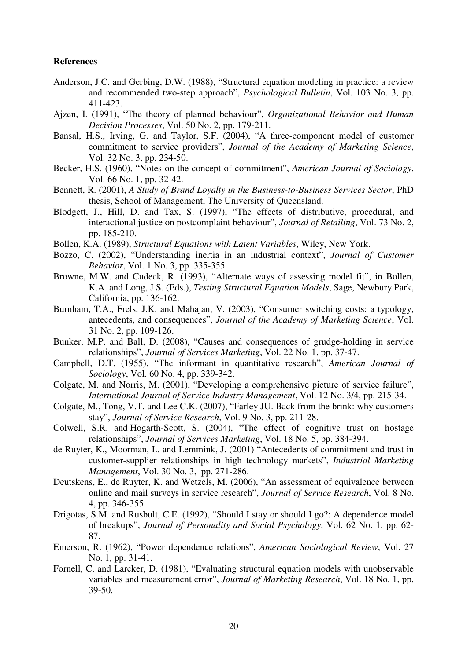#### **References**

- Anderson, J.C. and Gerbing, D.W. (1988), "Structural equation modeling in practice: a review and recommended two-step approach", *Psychological Bulletin*, Vol. 103 No. 3, pp. 411-423.
- Ajzen, I. (1991), "The theory of planned behaviour", *Organizational Behavior and Human Decision Processes*, Vol. 50 No. 2, pp. 179-211.
- Bansal, H.S., Irving, G. and Taylor, S.F. (2004), "A three-component model of customer commitment to service providers", *Journal of the Academy of Marketing Science*, Vol. 32 No. 3, pp. 234-50.
- Becker, H.S. (1960), "Notes on the concept of commitment", *American Journal of Sociology*, Vol. 66 No. 1, pp. 32-42.
- Bennett, R. (2001), *A Study of Brand Loyalty in the Business-to-Business Services Sector*, PhD thesis, School of Management, The University of Queensland.
- Blodgett, J., Hill, D. and Tax, S. (1997), "The effects of distributive, procedural, and interactional justice on postcomplaint behaviour", *Journal of Retailing*, Vol. 73 No. 2, pp. 185-210.
- Bollen, K.A. (1989), *Structural Equations with Latent Variables*, Wiley, New York.
- Bozzo, C. (2002), "Understanding inertia in an industrial context", *Journal of Customer Behavior*, Vol. 1 No. 3, pp. 335-355.
- Browne, M.W. and Cudeck, R. (1993), "Alternate ways of assessing model fit", in Bollen, K.A. and Long, J.S. (Eds.), *Testing Structural Equation Models*, Sage, Newbury Park, California, pp. 136-162.
- Burnham, T.A., Frels, J.K. and Mahajan, V. (2003), "Consumer switching costs: a typology, antecedents, and consequences", *Journal of the Academy of Marketing Science*, Vol. 31 No. 2, pp. 109-126.
- Bunker, M.P. and Ball, D. (2008), "Causes and consequences of grudge-holding in service relationships", *Journal of Services Marketing*, Vol. 22 No. 1, pp. 37-47.
- Campbell, D.T. (1955), "The informant in quantitative research", *American Journal of Sociology*, Vol. 60 No. 4, pp. 339-342.
- Colgate, M. and Norris, M. (2001), "Developing a comprehensive picture of service failure", *International Journal of Service Industry Management*, Vol. 12 No. 3/4, pp. 215-34.
- Colgate, M., Tong, V.T. and Lee C.K. (2007), "Farley JU. Back from the brink: why customers stay", *Journal of Service Research*, Vol. 9 No. 3, pp. 211-28.
- Colwell, S.R. and Hogarth-Scott, S. (2004), "The effect of cognitive trust on hostage relationships", *Journal of Services Marketing*, Vol. 18 No. 5, pp. 384-394.
- de Ruyter, K., Moorman, L. and Lemmink, J. (2001) "Antecedents of commitment and trust in customer-supplier relationships in high technology markets", *Industrial Marketing Management*, Vol. 30 No. 3, pp. 271-286.
- Deutskens, E., de Ruyter, K. and Wetzels, M. (2006), "An assessment of equivalence between online and mail surveys in service research", *Journal of Service Research*, Vol. 8 No. 4, pp. 346-355.
- Drigotas, S.M. and Rusbult, C.E. (1992), "Should I stay or should I go?: A dependence model of breakups", *Journal of Personality and Social Psychology*, Vol. 62 No. 1, pp. 62- 87.
- Emerson, R. (1962), "Power dependence relations", *American Sociological Review*, Vol. 27 No. 1, pp. 31-41.
- Fornell, C. and Larcker, D. (1981), "Evaluating structural equation models with unobservable variables and measurement error", *Journal of Marketing Research*, Vol. 18 No. 1, pp. 39-50.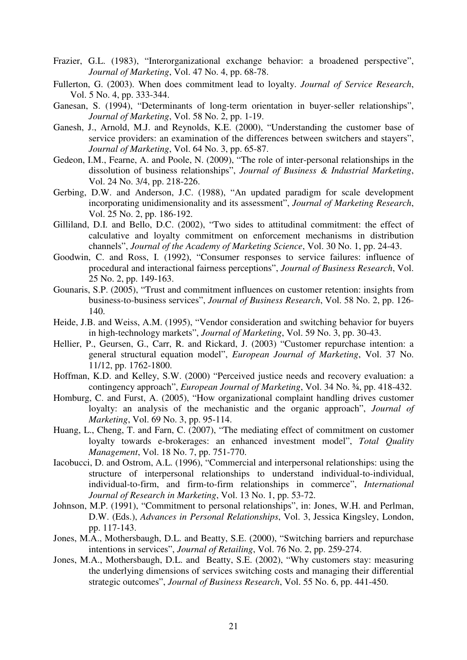- Frazier, G.L. (1983), "Interorganizational exchange behavior: a broadened perspective", *Journal of Marketing*, Vol. 47 No. 4, pp. 68-78.
- Fullerton, G. (2003). When does commitment lead to loyalty. *Journal of Service Research*, Vol. 5 No. 4, pp. 333-344.
- Ganesan, S. (1994), "Determinants of long-term orientation in buyer-seller relationships", *Journal of Marketing*, Vol. 58 No. 2, pp. 1-19.
- Ganesh, J., Arnold, M.J. and Reynolds, K.E. (2000), "Understanding the customer base of service providers: an examination of the differences between switchers and stayers", *Journal of Marketing*, Vol. 64 No. 3, pp. 65-87.
- Gedeon, I.M., Fearne, A. and Poole, N. (2009), "The role of inter-personal relationships in the dissolution of business relationships", *Journal of Business & Industrial Marketing*, Vol. 24 No. 3/4, pp. 218-226.
- Gerbing, D.W. and Anderson, J.C. (1988), "An updated paradigm for scale development incorporating unidimensionality and its assessment", *Journal of Marketing Research*, Vol. 25 No. 2, pp. 186-192.
- Gilliland, D.I. and Bello, D.C. (2002), "Two sides to attitudinal commitment: the effect of calculative and loyalty commitment on enforcement mechanisms in distribution channels", *Journal of the Academy of Marketing Science*, Vol. 30 No. 1, pp. 24-43.
- Goodwin, C. and Ross, I. (1992), "Consumer responses to service failures: influence of procedural and interactional fairness perceptions", *Journal of Business Research*, Vol. 25 No. 2, pp. 149-163.
- Gounaris, S.P. (2005), "Trust and commitment influences on customer retention: insights from business-to-business services", *Journal of Business Research*, Vol. 58 No. 2, pp. 126- 140.
- Heide, J.B. and Weiss, A.M. (1995), "Vendor consideration and switching behavior for buyers in high-technology markets", *Journal of Marketing*, Vol. 59 No. 3, pp. 30-43.
- Hellier, P., Geursen, G., Carr, R. and Rickard, J. (2003) "Customer repurchase intention: a general structural equation model", *European Journal of Marketing*, Vol. 37 No. 11/12, pp. 1762-1800.
- Hoffman, K.D. and Kelley, S.W. (2000) "Perceived justice needs and recovery evaluation: a contingency approach", *European Journal of Marketing*, Vol. 34 No. ¾, pp. 418-432.
- Homburg, C. and Furst, A. (2005), "How organizational complaint handling drives customer loyalty: an analysis of the mechanistic and the organic approach", *Journal of Marketing*, Vol. 69 No. 3, pp. 95-114.
- Huang, L., Cheng, T. and Farn, C. (2007), "The mediating effect of commitment on customer loyalty towards e-brokerages: an enhanced investment model", *Total Quality Management*, Vol. 18 No. 7, pp. 751-770.
- Iacobucci, D. and Ostrom, A.L. (1996), "Commercial and interpersonal relationships: using the structure of interpersonal relationships to understand individual-to-individual, individual-to-firm, and firm-to-firm relationships in commerce", *International Journal of Research in Marketing*, Vol. 13 No. 1, pp. 53-72.
- Johnson, M.P. (1991), "Commitment to personal relationships", in: Jones, W.H. and Perlman, D.W. (Eds.), *Advances in Personal Relationships*, Vol. 3, Jessica Kingsley, London, pp. 117-143.
- Jones, M.A., Mothersbaugh, D.L. and Beatty, S.E. (2000), "Switching barriers and repurchase intentions in services", *Journal of Retailing*, Vol. 76 No. 2, pp. 259-274.
- Jones, M.A., Mothersbaugh, D.L. and Beatty, S.E. (2002), "Why customers stay: measuring the underlying dimensions of services switching costs and managing their differential strategic outcomes", *Journal of Business Research*, Vol. 55 No. 6, pp. 441-450.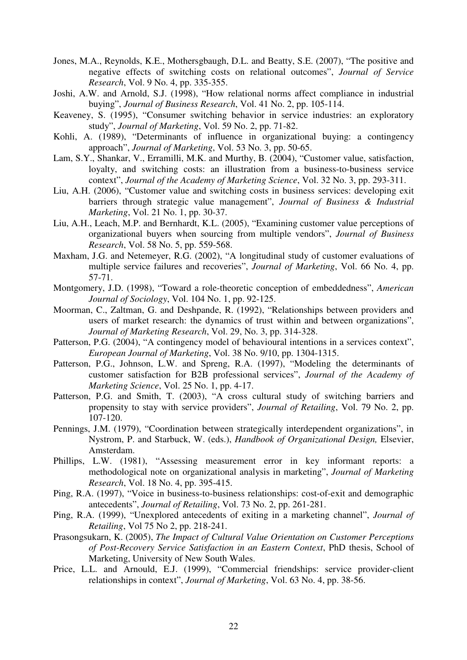- Jones, M.A., Reynolds, K.E., Mothersgbaugh, D.L. and Beatty, S.E. (2007), "The positive and negative effects of switching costs on relational outcomes", *Journal of Service Research*, Vol. 9 No. 4, pp. 335-355.
- Joshi, A.W. and Arnold, S.J. (1998), "How relational norms affect compliance in industrial buying", *Journal of Business Research*, Vol. 41 No. 2, pp. 105-114.
- Keaveney, S. (1995), "Consumer switching behavior in service industries: an exploratory study", *Journal of Marketing*, Vol. 59 No. 2, pp. 71-82.
- Kohli, A. (1989), "Determinants of influence in organizational buying: a contingency approach", *Journal of Marketing*, Vol. 53 No. 3, pp. 50-65.
- Lam, S.Y., Shankar, V., Erramilli, M.K. and Murthy, B. (2004), "Customer value, satisfaction, loyalty, and switching costs: an illustration from a business-to-business service context", *Journal of the Academy of Marketing Science*, Vol. 32 No. 3, pp. 293-311.
- Liu, A.H. (2006), "Customer value and switching costs in business services: developing exit barriers through strategic value management", *Journal of Business & Industrial Marketing*, Vol. 21 No. 1, pp. 30-37.
- Liu, A.H., Leach, M.P. and Bernhardt, K.L. (2005), "Examining customer value perceptions of organizational buyers when sourcing from multiple vendors", *Journal of Business Research*, Vol. 58 No. 5, pp. 559-568.
- Maxham, J.G. and Netemeyer, R.G. (2002), "A longitudinal study of customer evaluations of multiple service failures and recoveries", *Journal of Marketing*, Vol. 66 No. 4, pp. 57-71.
- Montgomery, J.D. (1998), "Toward a role-theoretic conception of embeddedness", *American Journal of Sociology*, Vol. 104 No. 1, pp. 92-125.
- Moorman, C., Zaltman, G. and Deshpande, R. (1992), "Relationships between providers and users of market research: the dynamics of trust within and between organizations", *Journal of Marketing Research*, Vol. 29, No. 3, pp. 314-328.
- Patterson, P.G. (2004), "A contingency model of behavioural intentions in a services context", *European Journal of Marketing*, Vol. 38 No. 9/10, pp. 1304-1315.
- Patterson, P.G., Johnson, L.W. and Spreng, R.A. (1997), "Modeling the determinants of customer satisfaction for B2B professional services", *Journal of the Academy of Marketing Science*, Vol. 25 No. 1, pp. 4-17.
- Patterson, P.G. and Smith, T. (2003), "A cross cultural study of switching barriers and propensity to stay with service providers", *Journal of Retailing*, Vol. 79 No. 2, pp. 107-120.
- Pennings, J.M. (1979), "Coordination between strategically interdependent organizations", in Nystrom, P. and Starbuck, W. (eds.), *Handbook of Organizational Design,* Elsevier, Amsterdam.
- Phillips, L.W. (1981), "Assessing measurement error in key informant reports: a methodological note on organizational analysis in marketing", *Journal of Marketing Research*, Vol. 18 No. 4, pp. 395-415.
- Ping, R.A. (1997), "Voice in business-to-business relationships: cost-of-exit and demographic antecedents", *Journal of Retailing*, Vol. 73 No. 2, pp. 261-281.
- Ping, R.A. (1999), "Unexplored antecedents of exiting in a marketing channel", *Journal of Retailing*, Vol 75 No 2, pp. 218-241.
- Prasongsukarn, K. (2005), *The Impact of Cultural Value Orientation on Customer Perceptions of Post-Recovery Service Satisfaction in an Eastern Context*, PhD thesis, School of Marketing, University of New South Wales.
- Price, L.L. and Arnould, E.J. (1999), "Commercial friendships: service provider-client relationships in context", *Journal of Marketing*, Vol. 63 No. 4, pp. 38-56.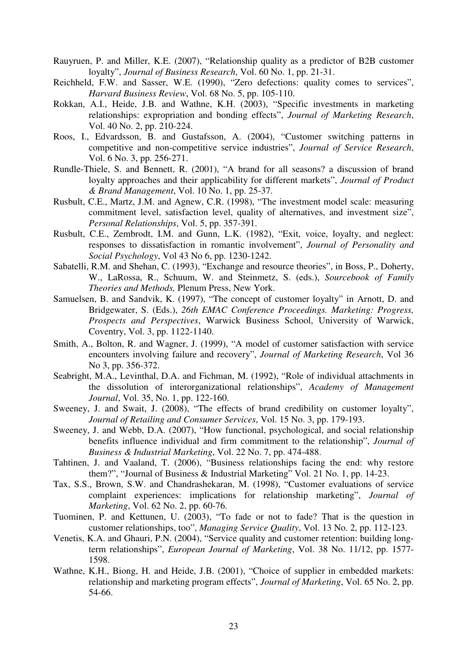- Rauyruen, P. and Miller, K.E. (2007), "Relationship quality as a predictor of B2B customer loyalty", *Journal of Business Research*, Vol. 60 No. 1, pp. 21-31.
- Reichheld, F.W. and Sasser, W.E. (1990), "Zero defections: quality comes to services", *Harvard Business Review*, Vol. 68 No. 5, pp. 105-110.
- Rokkan, A.I., Heide, J.B. and Wathne, K.H. (2003), "Specific investments in marketing relationships: expropriation and bonding effects", *Journal of Marketing Research*, Vol. 40 No. 2, pp. 210-224.
- Roos, I., Edvardsson, B. and Gustafsson, A. (2004), "Customer switching patterns in competitive and non-competitive service industries", *Journal of Service Research*, Vol. 6 No. 3, pp. 256-271.
- Rundle-Thiele, S. and Bennett, R. (2001), "A brand for all seasons? a discussion of brand loyalty approaches and their applicability for different markets", *Journal of Product & Brand Management*, Vol. 10 No. 1, pp. 25-37.
- Rusbult, C.E., Martz, J.M. and Agnew, C.R. (1998), "The investment model scale: measuring commitment level, satisfaction level, quality of alternatives, and investment size", *Personal Relationships*, Vol. 5, pp. 357-391.
- Rusbult, C.E., Zembrodt, I.M. and Gunn, L.K. (1982), "Exit, voice, loyalty, and neglect: responses to dissatisfaction in romantic involvement", *Journal of Personality and Social Psychology*, Vol 43 No 6, pp. 1230-1242.
- Sabatelli, R.M. and Shehan, C. (1993), "Exchange and resource theories", in Boss, P., Doherty, W., LaRossa, R., Schuum, W. and Steinmetz, S. (eds.), *Sourcebook of Family Theories and Methods,* Plenum Press, New York.
- Samuelsen, B. and Sandvik, K. (1997), "The concept of customer loyalty" in Arnott, D. and Bridgewater, S. (Eds.), *26th EMAC Conference Proceedings. Marketing: Progress, Prospects and Perspectives*, Warwick Business School, University of Warwick, Coventry, Vol. 3, pp. 1122-1140.
- Smith, A., Bolton, R. and Wagner, J. (1999), "A model of customer satisfaction with service encounters involving failure and recovery", *Journal of Marketing Research*, Vol 36 No 3, pp. 356-372.
- Seabright, M.A., Levinthal, D.A. and Fichman, M. (1992), "Role of individual attachments in the dissolution of interorganizational relationships", *Academy of Management Journal*, Vol. 35, No. 1, pp. 122-160.
- Sweeney, J. and Swait, J. (2008), "The effects of brand credibility on customer loyalty", *Journal of Retailing and Consumer Services*, Vol. 15 No. 3, pp. 179-193.
- Sweeney, J. and Webb, D.A. (2007), "How functional, psychological, and social relationship benefits influence individual and firm commitment to the relationship", *Journal of Business & Industrial Marketing*, Vol. 22 No. 7, pp. 474-488.
- Tahtinen, J. and Vaaland, T. (2006), "Business relationships facing the end: why restore them?", "Journal of Business & Industrial Marketing" Vol. 21 No. 1, pp. 14-23.
- Tax, S.S., Brown, S.W. and Chandrashekaran, M. (1998), "Customer evaluations of service complaint experiences: implications for relationship marketing", *Journal of Marketing*, Vol. 62 No. 2, pp. 60-76.
- Tuominen, P. and Kettunen, U. (2003), "To fade or not to fade? That is the question in customer relationships, too", *Managing Service Quality*, Vol. 13 No. 2, pp. 112-123.
- Venetis, K.A. and Ghauri, P.N. (2004), "Service quality and customer retention: building longterm relationships", *European Journal of Marketing*, Vol. 38 No. 11/12, pp. 1577- 1598.
- Wathne, K.H., Biong, H. and Heide, J.B. (2001), "Choice of supplier in embedded markets: relationship and marketing program effects", *Journal of Marketing*, Vol. 65 No. 2, pp. 54-66.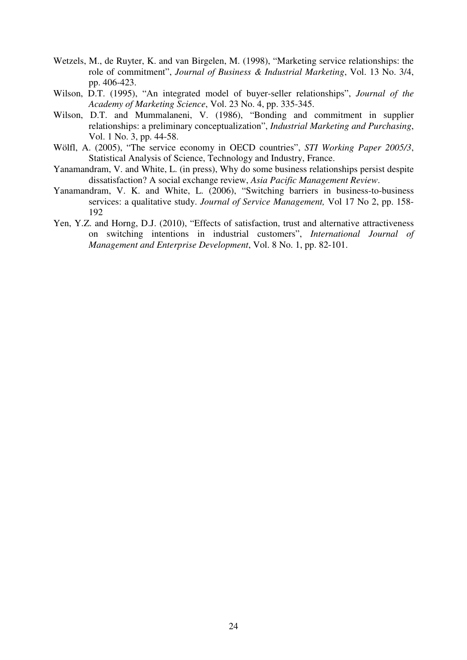- Wetzels, M., de Ruyter, K. and van Birgelen, M. (1998), "Marketing service relationships: the role of commitment", *Journal of Business & Industrial Marketing*, Vol. 13 No. 3/4, pp. 406-423.
- Wilson, D.T. (1995), "An integrated model of buyer-seller relationships", *Journal of the Academy of Marketing Science*, Vol. 23 No. 4, pp. 335-345.
- Wilson, D.T. and Mummalaneni, V. (1986), "Bonding and commitment in supplier relationships: a preliminary conceptualization", *Industrial Marketing and Purchasing*, Vol. 1 No. 3, pp. 44-58.
- Wölfl, A. (2005), "The service economy in OECD countries", *STI Working Paper 2005/3*, Statistical Analysis of Science, Technology and Industry, France.
- Yanamandram, V. and White, L. (in press), Why do some business relationships persist despite dissatisfaction? A social exchange review, *Asia Pacific Management Review*.
- Yanamandram, V. K. and White, L. (2006), "Switching barriers in business-to-business services: a qualitative study. *Journal of Service Management,* Vol 17 No 2, pp. 158- 192
- Yen, Y.Z. and Horng, D.J. (2010), "Effects of satisfaction, trust and alternative attractiveness on switching intentions in industrial customers", *International Journal of Management and Enterprise Development*, Vol. 8 No. 1, pp. 82-101.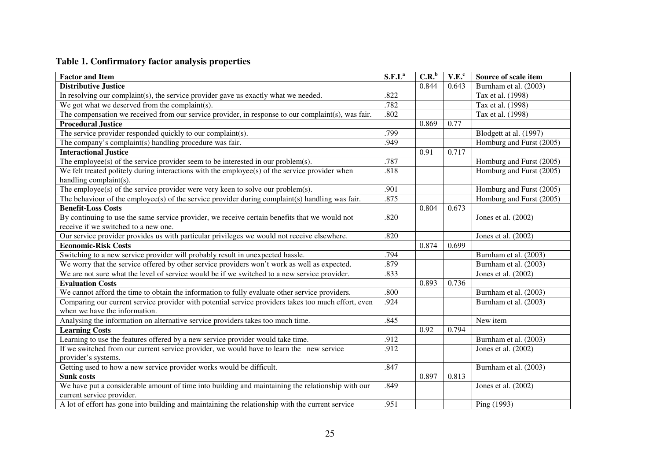## **Table 1. Confirmatory factor analysis properties**

| <b>Factor and Item</b>                                                                                                   | $S.F.L^a$ | C.R. <sup>b</sup> | V.E. <sup>c</sup> | Source of scale item     |
|--------------------------------------------------------------------------------------------------------------------------|-----------|-------------------|-------------------|--------------------------|
| <b>Distributive Justice</b>                                                                                              |           | 0.844             | 0.643             | Burnham et al. (2003)    |
| In resolving our complaint(s), the service provider gave us exactly what we needed.                                      | .822      |                   |                   | Tax et al. (1998)        |
| We got what we deserved from the complaint(s).                                                                           | .782      |                   |                   | Tax et al. (1998)        |
| The compensation we received from our service provider, in response to our complaint(s), was fair.                       | .802      |                   |                   | Tax et al. (1998)        |
| <b>Procedural Justice</b>                                                                                                |           | 0.869             | 0.77              |                          |
| The service provider responded quickly to our complaint(s).                                                              | .799      |                   |                   | Blodgett at al. (1997)   |
| The company's complaint(s) handling procedure was fair.                                                                  | .949      |                   |                   | Homburg and Furst (2005) |
| <b>Interactional Justice</b>                                                                                             |           | 0.91              | 0.717             |                          |
| The employee(s) of the service provider seem to be interested in our problem(s).                                         | .787      |                   |                   | Homburg and Furst (2005) |
| We felt treated politely during interactions with the employee(s) of the service provider when<br>handling complaint(s). | .818      |                   |                   | Homburg and Furst (2005) |
| The employee(s) of the service provider were very keen to solve our problem(s).                                          | .901      |                   |                   | Homburg and Furst (2005) |
| The behaviour of the employee(s) of the service provider during complaint(s) handling was fair.                          | .875      |                   |                   | Homburg and Furst (2005) |
| <b>Benefit-Loss Costs</b>                                                                                                |           | 0.804             | 0.673             |                          |
| By continuing to use the same service provider, we receive certain benefits that we would not                            | .820      |                   |                   | Jones et al. (2002)      |
| receive if we switched to a new one.                                                                                     |           |                   |                   |                          |
| Our service provider provides us with particular privileges we would not receive elsewhere.                              | .820      |                   |                   | Jones et al. (2002)      |
| <b>Economic-Risk Costs</b>                                                                                               |           | 0.874             | 0.699             |                          |
| Switching to a new service provider will probably result in unexpected hassle.                                           | .794      |                   |                   | Burnham et al. (2003)    |
| We worry that the service offered by other service providers won't work as well as expected.                             | .879      |                   |                   | Burnham et al. (2003)    |
| We are not sure what the level of service would be if we switched to a new service provider.                             | .833      |                   |                   | Jones et al. (2002)      |
| <b>Evaluation Costs</b>                                                                                                  |           | 0.893             | 0.736             |                          |
| We cannot afford the time to obtain the information to fully evaluate other service providers.                           | .800      |                   |                   | Burnham et al. (2003)    |
| Comparing our current service provider with potential service providers takes too much effort, even                      | .924      |                   |                   | Burnham et al. (2003)    |
| when we have the information.                                                                                            |           |                   |                   |                          |
| Analysing the information on alternative service providers takes too much time.                                          | .845      |                   |                   | New item                 |
| <b>Learning Costs</b>                                                                                                    |           | 0.92              | 0.794             |                          |
| Learning to use the features offered by a new service provider would take time.                                          | .912      |                   |                   | Burnham et al. (2003)    |
| If we switched from our current service provider, we would have to learn the new service                                 | .912      |                   |                   | Jones et al. (2002)      |
| provider's systems.                                                                                                      |           |                   |                   |                          |
| Getting used to how a new service provider works would be difficult.                                                     | .847      |                   |                   | Burnham et al. (2003)    |
| <b>Sunk costs</b>                                                                                                        |           | 0.897             | 0.813             |                          |
| We have put a considerable amount of time into building and maintaining the relationship with our                        | .849      |                   |                   | Jones et al. (2002)      |
| current service provider.                                                                                                |           |                   |                   |                          |
| A lot of effort has gone into building and maintaining the relationship with the current service                         | .951      |                   |                   | Ping (1993)              |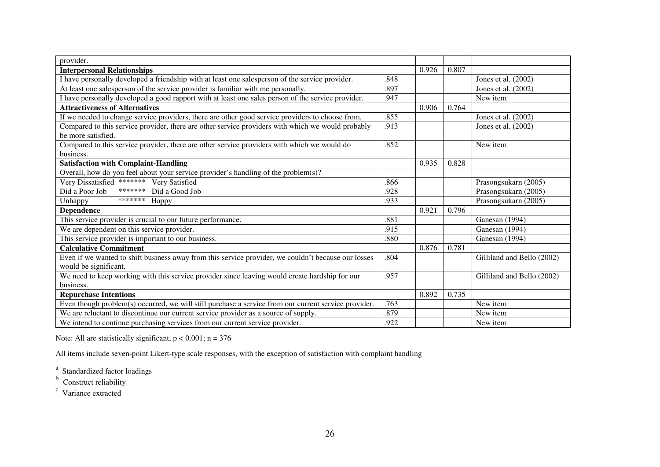| provider.                                                                                            |      |       |       |                            |
|------------------------------------------------------------------------------------------------------|------|-------|-------|----------------------------|
| <b>Interpersonal Relationships</b>                                                                   |      | 0.926 | 0.807 |                            |
| I have personally developed a friendship with at least one salesperson of the service provider.      | .848 |       |       | Jones et al. (2002)        |
| At least one salesperson of the service provider is familiar with me personally.                     | .897 |       |       | Jones et al. (2002)        |
| I have personally developed a good rapport with at least one sales person of the service provider.   | .947 |       |       | New item                   |
| <b>Attractiveness of Alternatives</b>                                                                |      | 0.906 | 0.764 |                            |
| If we needed to change service providers, there are other good service providers to choose from.     | .855 |       |       | Jones et al. (2002)        |
| Compared to this service provider, there are other service providers with which we would probably    | .913 |       |       | Jones et al. (2002)        |
| be more satisfied.                                                                                   |      |       |       |                            |
| Compared to this service provider, there are other service providers with which we would do          | .852 |       |       | New item                   |
| business.                                                                                            |      |       |       |                            |
| <b>Satisfaction with Complaint-Handling</b>                                                          |      | 0.935 | 0.828 |                            |
| Overall, how do you feel about your service provider's handling of the problem(s)?                   |      |       |       |                            |
| Very Dissatisfied ******* Very Satisfied                                                             | .866 |       |       | Prasongsukarn (2005)       |
| *******<br>Did a Poor Job<br>Did a Good Job                                                          | .928 |       |       | Prasongsukarn (2005)       |
| *******<br>Unhappy<br>Happy                                                                          | .933 |       |       | Prasongsukarn (2005)       |
| <b>Dependence</b>                                                                                    |      | 0.921 | 0.796 |                            |
| This service provider is crucial to our future performance.                                          | .881 |       |       | Ganesan (1994)             |
| We are dependent on this service provider.                                                           | .915 |       |       | Ganesan (1994)             |
| This service provider is important to our business.                                                  | .880 |       |       | Ganesan (1994)             |
| <b>Calculative Commitment</b>                                                                        |      | 0.876 | 0.781 |                            |
| Even if we wanted to shift business away from this service provider, we couldn't because our losses  | .804 |       |       | Gilliland and Bello (2002) |
| would be significant.                                                                                |      |       |       |                            |
| We need to keep working with this service provider since leaving would create hardship for our       | .957 |       |       | Gilliland and Bello (2002) |
| business.                                                                                            |      |       |       |                            |
| <b>Repurchase Intentions</b>                                                                         |      | 0.892 | 0.735 |                            |
| Even though problem(s) occurred, we will still purchase a service from our current service provider. | .763 |       |       | New item                   |
| We are reluctant to discontinue our current service provider as a source of supply.                  | .879 |       |       | New item                   |
| We intend to continue purchasing services from our current service provider.                         | .922 |       |       | New item                   |

Note: All are statistically significant,  $p < 0.001$ ; n = 376

All items include seven-point Likert-type scale responses, with the exception of satisfaction with complaint handling

<sup>a</sup> Standardized factor loadings<br>
<sup>b</sup> Construct reliability<br>
<sup>c</sup> Variance extracted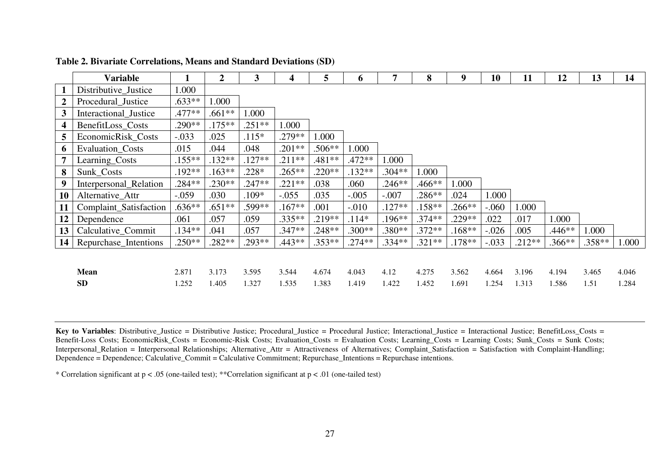|                  | Variable               | 1        | $\overline{2}$ | $\mathbf{3}$ | 4         | 5        | 6        | 7        | 8        | 9 <sup>°</sup> | 10      | 11       | 12       | 13       | 14    |
|------------------|------------------------|----------|----------------|--------------|-----------|----------|----------|----------|----------|----------------|---------|----------|----------|----------|-------|
| $\mathbf{1}$     | Distributive_Justice   | 1.000    |                |              |           |          |          |          |          |                |         |          |          |          |       |
| $\boldsymbol{2}$ | Procedural_Justice     | $.633**$ | 1.000          |              |           |          |          |          |          |                |         |          |          |          |       |
| $\mathbf{3}$     | Interactional_Justice  | .477**   | $.661**$       | .000         |           |          |          |          |          |                |         |          |          |          |       |
| $\boldsymbol{4}$ | BenefitLoss_Costs      | $.290**$ | $.175***$      | $.251**$     | 1.000     |          |          |          |          |                |         |          |          |          |       |
| $5\overline{)}$  | EconomicRisk_Costs     | $-.033$  | .025           | $.115*$      | $.279**$  | 1.000    |          |          |          |                |         |          |          |          |       |
| 6                | Evaluation_Costs       | .015     | .044           | .048         | $.201**$  | $.506**$ | 1.000    |          |          |                |         |          |          |          |       |
| $\overline{7}$   | Learning_Costs         | $.155**$ | $.132**$       | $.127**$     | $.211**$  | .481**   | $.472**$ | 1.000    |          |                |         |          |          |          |       |
| 8                | Sunk Costs             | $.192**$ | $.163**$       | $.228*$      | $.265***$ | $.220**$ | $.132**$ | $.304**$ | 1.000    |                |         |          |          |          |       |
| 9                | Interpersonal_Relation | $.284**$ | $.230**$       | $.247**$     | $.221**$  | .038     | .060     | $.246**$ | .466**   | 1.000          |         |          |          |          |       |
| 10               | Alternative Attr       | $-.059$  | .030           | $.109*$      | $-.055$   | .035     | $-.005$  | $-.007$  | .286**   | .024           | 1.000   |          |          |          |       |
| 11               | Complaint_Satisfaction | $.636**$ | $.651**$       | .599**       | $.167**$  | .001     | $-.010$  | $.127**$ | $.158**$ | $.266**$       | $-.060$ | 1.000    |          |          |       |
| 12               | Dependence             | .061     | .057           | .059         | $.335**$  | $.219**$ | $.114*$  | $.196**$ | $.374**$ | $.229**$       | .022    | .017     | 1.000    |          |       |
| 13               | Calculative_Commit     | $.134**$ | .041           | .057         | $.347**$  | $.248**$ | $.300**$ | $.380**$ | $.372**$ | $.168**$       | $-.026$ | .005     | $.446**$ | 1.000    |       |
| 14               | Repurchase_Intentions  | $.250**$ | $.282**$       | $.293**$     | $.443**$  | $.353**$ | $.274**$ | $.334**$ | $.321**$ | $.178**$       | $-.033$ | $.212**$ | $.366**$ | $.358**$ | 1.000 |
|                  |                        |          |                |              |           |          |          |          |          |                |         |          |          |          |       |
|                  | <b>Mean</b>            | 2.871    | 3.173          | 3.595        | 3.544     | 4.674    | 4.043    | 4.12     | 4.275    | 3.562          | 4.664   | 3.196    | 4.194    | 3.465    | 4.046 |
|                  | <b>SD</b>              | 1.252    | 1.405          | 1.327        | 1.535     | 1.383    | 1.419    | 1.422    | 1.452    | 1.691          | 1.254   | 1.313    | 1.586    | 1.51     | 1.284 |

#### **Table 2. Bivariate Correlations, Means and Standard Deviations (SD)**

**Key to Variables**: Distributive\_Justice = Distributive Justice; Procedural\_Justice = Procedural Justice; Interactional\_Justice = Interactional Justice; BenefitLoss\_Costs = Benefit-Loss Costs; EconomicRisk\_Costs = Economic-Risk Costs; Evaluation\_Costs = Evaluation Costs; Learning\_Costs = Learning Costs; Sunk\_Costs = Sunk Costs; Interpersonal\_Relation = Interpersonal Relationships; Alternative\_Attr = Attractiveness of Alternatives; Complaint\_Satisfaction = Satisfaction with Complaint-Handling; Dependence = Dependence; Calculative\_Commit = Calculative Commitment; Repurchase\_Intentions = Repurchase intentions.

\* Correlation significant at p < .05 (one-tailed test); \*\*Correlation significant at p < .01 (one-tailed test)